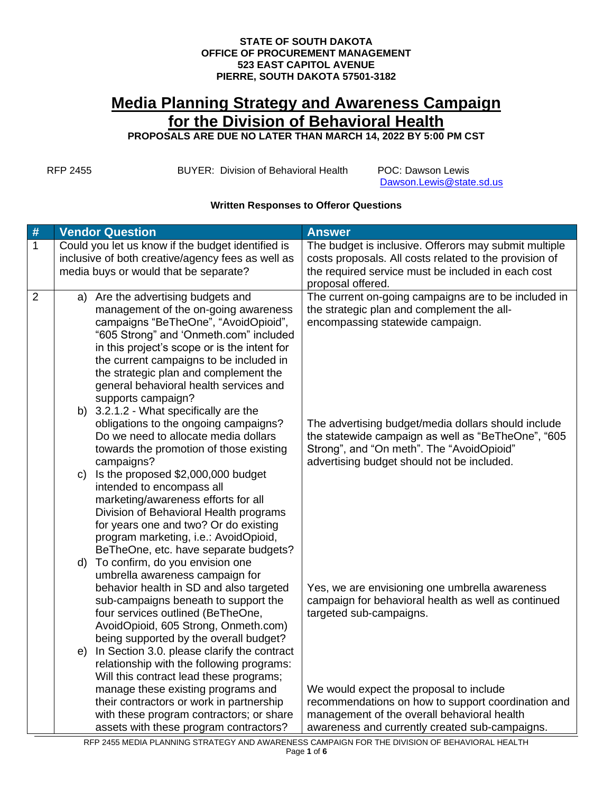## **STATE OF SOUTH DAKOTA OFFICE OF PROCUREMENT MANAGEMENT 523 EAST CAPITOL AVENUE PIERRE, SOUTH DAKOTA 57501-3182**

## **Media Planning Strategy and Awareness Campaign for the Division of Behavioral Health**

**PROPOSALS ARE DUE NO LATER THAN MARCH 14, 2022 BY 5:00 PM CST**

RFP 2455 BUYER: Division of Behavioral Health POC: Dawson Lewis

[Dawson.Lewis@state.sd.us](mailto:Dawson.Lewis@state.sd.us)

## **Written Responses to Offeror Questions**

| #              | <b>Vendor Question</b>                                                                                                                                                                                                                                                                                                                                                                                     | <b>Answer</b>                                                                                                                                                                                        |
|----------------|------------------------------------------------------------------------------------------------------------------------------------------------------------------------------------------------------------------------------------------------------------------------------------------------------------------------------------------------------------------------------------------------------------|------------------------------------------------------------------------------------------------------------------------------------------------------------------------------------------------------|
| 1              | Could you let us know if the budget identified is<br>inclusive of both creative/agency fees as well as                                                                                                                                                                                                                                                                                                     | The budget is inclusive. Offerors may submit multiple<br>costs proposals. All costs related to the provision of                                                                                      |
|                | media buys or would that be separate?                                                                                                                                                                                                                                                                                                                                                                      | the required service must be included in each cost<br>proposal offered.                                                                                                                              |
| $\overline{2}$ | a) Are the advertising budgets and<br>management of the on-going awareness<br>campaigns "BeTheOne", "AvoidOpioid",<br>"605 Strong" and 'Onmeth.com" included<br>in this project's scope or is the intent for<br>the current campaigns to be included in<br>the strategic plan and complement the<br>general behavioral health services and<br>supports campaign?<br>b) 3.2.1.2 - What specifically are the | The current on-going campaigns are to be included in<br>the strategic plan and complement the all-<br>encompassing statewide campaign.                                                               |
|                | obligations to the ongoing campaigns?<br>Do we need to allocate media dollars<br>towards the promotion of those existing<br>campaigns?                                                                                                                                                                                                                                                                     | The advertising budget/media dollars should include<br>the statewide campaign as well as "BeTheOne", "605<br>Strong", and "On meth". The "AvoidOpioid"<br>advertising budget should not be included. |
|                | c) Is the proposed \$2,000,000 budget<br>intended to encompass all<br>marketing/awareness efforts for all<br>Division of Behavioral Health programs<br>for years one and two? Or do existing<br>program marketing, i.e.: AvoidOpioid,<br>BeTheOne, etc. have separate budgets?                                                                                                                             |                                                                                                                                                                                                      |
|                | d) To confirm, do you envision one<br>umbrella awareness campaign for<br>behavior health in SD and also targeted<br>sub-campaigns beneath to support the<br>four services outlined (BeTheOne,<br>AvoidOpioid, 605 Strong, Onmeth.com)<br>being supported by the overall budget?                                                                                                                            | Yes, we are envisioning one umbrella awareness<br>campaign for behavioral health as well as continued<br>targeted sub-campaigns.                                                                     |
|                | e) In Section 3.0. please clarify the contract<br>relationship with the following programs:<br>Will this contract lead these programs;<br>manage these existing programs and                                                                                                                                                                                                                               | We would expect the proposal to include                                                                                                                                                              |
|                | their contractors or work in partnership<br>with these program contractors; or share                                                                                                                                                                                                                                                                                                                       | recommendations on how to support coordination and<br>management of the overall behavioral health                                                                                                    |
|                | assets with these program contractors?                                                                                                                                                                                                                                                                                                                                                                     | awareness and currently created sub-campaigns.                                                                                                                                                       |

RFP 2455 MEDIA PLANNING STRATEGY AND AWARENESS CAMPAIGN FOR THE DIVISION OF BEHAVIORAL HEALTH Page **1** of **6**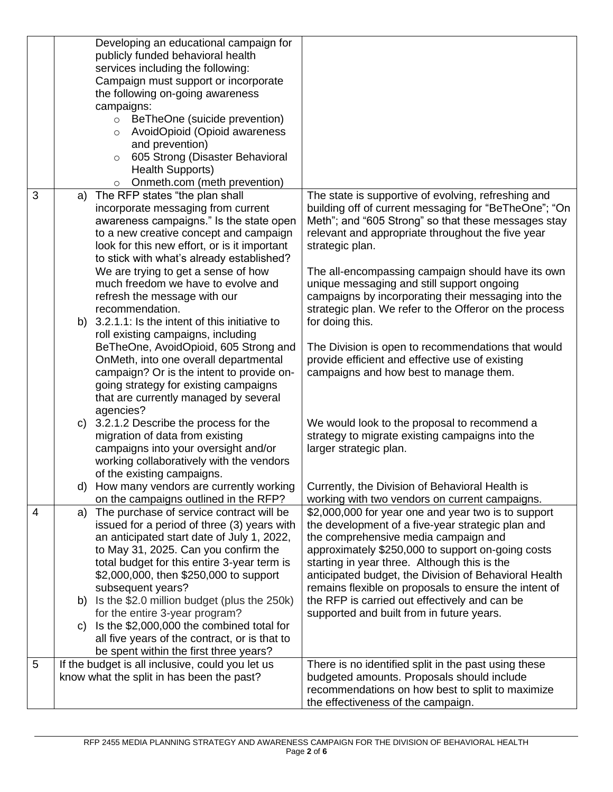|   | Developing an educational campaign for                                                                                                                                                                                                                                                                                                                                                                                                                                                                                                                                                                                                                                                                                                                                                                                                                                                                                                                                                                                                                                                                                                            |                                                                                                                                                                                                                                                                                                                                                                                                                                                                                                                                                                                                                                                                                                                                                                                                                                                              |
|---|---------------------------------------------------------------------------------------------------------------------------------------------------------------------------------------------------------------------------------------------------------------------------------------------------------------------------------------------------------------------------------------------------------------------------------------------------------------------------------------------------------------------------------------------------------------------------------------------------------------------------------------------------------------------------------------------------------------------------------------------------------------------------------------------------------------------------------------------------------------------------------------------------------------------------------------------------------------------------------------------------------------------------------------------------------------------------------------------------------------------------------------------------|--------------------------------------------------------------------------------------------------------------------------------------------------------------------------------------------------------------------------------------------------------------------------------------------------------------------------------------------------------------------------------------------------------------------------------------------------------------------------------------------------------------------------------------------------------------------------------------------------------------------------------------------------------------------------------------------------------------------------------------------------------------------------------------------------------------------------------------------------------------|
|   | publicly funded behavioral health                                                                                                                                                                                                                                                                                                                                                                                                                                                                                                                                                                                                                                                                                                                                                                                                                                                                                                                                                                                                                                                                                                                 |                                                                                                                                                                                                                                                                                                                                                                                                                                                                                                                                                                                                                                                                                                                                                                                                                                                              |
|   | services including the following:                                                                                                                                                                                                                                                                                                                                                                                                                                                                                                                                                                                                                                                                                                                                                                                                                                                                                                                                                                                                                                                                                                                 |                                                                                                                                                                                                                                                                                                                                                                                                                                                                                                                                                                                                                                                                                                                                                                                                                                                              |
|   | Campaign must support or incorporate                                                                                                                                                                                                                                                                                                                                                                                                                                                                                                                                                                                                                                                                                                                                                                                                                                                                                                                                                                                                                                                                                                              |                                                                                                                                                                                                                                                                                                                                                                                                                                                                                                                                                                                                                                                                                                                                                                                                                                                              |
|   | the following on-going awareness                                                                                                                                                                                                                                                                                                                                                                                                                                                                                                                                                                                                                                                                                                                                                                                                                                                                                                                                                                                                                                                                                                                  |                                                                                                                                                                                                                                                                                                                                                                                                                                                                                                                                                                                                                                                                                                                                                                                                                                                              |
|   | campaigns:                                                                                                                                                                                                                                                                                                                                                                                                                                                                                                                                                                                                                                                                                                                                                                                                                                                                                                                                                                                                                                                                                                                                        |                                                                                                                                                                                                                                                                                                                                                                                                                                                                                                                                                                                                                                                                                                                                                                                                                                                              |
|   | BeTheOne (suicide prevention)<br>$\circ$                                                                                                                                                                                                                                                                                                                                                                                                                                                                                                                                                                                                                                                                                                                                                                                                                                                                                                                                                                                                                                                                                                          |                                                                                                                                                                                                                                                                                                                                                                                                                                                                                                                                                                                                                                                                                                                                                                                                                                                              |
|   | AvoidOpioid (Opioid awareness<br>$\circ$                                                                                                                                                                                                                                                                                                                                                                                                                                                                                                                                                                                                                                                                                                                                                                                                                                                                                                                                                                                                                                                                                                          |                                                                                                                                                                                                                                                                                                                                                                                                                                                                                                                                                                                                                                                                                                                                                                                                                                                              |
|   | and prevention)                                                                                                                                                                                                                                                                                                                                                                                                                                                                                                                                                                                                                                                                                                                                                                                                                                                                                                                                                                                                                                                                                                                                   |                                                                                                                                                                                                                                                                                                                                                                                                                                                                                                                                                                                                                                                                                                                                                                                                                                                              |
|   | 605 Strong (Disaster Behavioral<br>$\circ$                                                                                                                                                                                                                                                                                                                                                                                                                                                                                                                                                                                                                                                                                                                                                                                                                                                                                                                                                                                                                                                                                                        |                                                                                                                                                                                                                                                                                                                                                                                                                                                                                                                                                                                                                                                                                                                                                                                                                                                              |
|   | <b>Health Supports)</b>                                                                                                                                                                                                                                                                                                                                                                                                                                                                                                                                                                                                                                                                                                                                                                                                                                                                                                                                                                                                                                                                                                                           |                                                                                                                                                                                                                                                                                                                                                                                                                                                                                                                                                                                                                                                                                                                                                                                                                                                              |
|   | Onmeth.com (meth prevention)<br>$\circ$                                                                                                                                                                                                                                                                                                                                                                                                                                                                                                                                                                                                                                                                                                                                                                                                                                                                                                                                                                                                                                                                                                           |                                                                                                                                                                                                                                                                                                                                                                                                                                                                                                                                                                                                                                                                                                                                                                                                                                                              |
| 3 | The RFP states "the plan shall<br>a)                                                                                                                                                                                                                                                                                                                                                                                                                                                                                                                                                                                                                                                                                                                                                                                                                                                                                                                                                                                                                                                                                                              | The state is supportive of evolving, refreshing and                                                                                                                                                                                                                                                                                                                                                                                                                                                                                                                                                                                                                                                                                                                                                                                                          |
|   | incorporate messaging from current                                                                                                                                                                                                                                                                                                                                                                                                                                                                                                                                                                                                                                                                                                                                                                                                                                                                                                                                                                                                                                                                                                                | building off of current messaging for "BeTheOne"; "On                                                                                                                                                                                                                                                                                                                                                                                                                                                                                                                                                                                                                                                                                                                                                                                                        |
|   | awareness campaigns." Is the state open                                                                                                                                                                                                                                                                                                                                                                                                                                                                                                                                                                                                                                                                                                                                                                                                                                                                                                                                                                                                                                                                                                           | Meth"; and "605 Strong" so that these messages stay                                                                                                                                                                                                                                                                                                                                                                                                                                                                                                                                                                                                                                                                                                                                                                                                          |
|   | to a new creative concept and campaign                                                                                                                                                                                                                                                                                                                                                                                                                                                                                                                                                                                                                                                                                                                                                                                                                                                                                                                                                                                                                                                                                                            | relevant and appropriate throughout the five year                                                                                                                                                                                                                                                                                                                                                                                                                                                                                                                                                                                                                                                                                                                                                                                                            |
|   | look for this new effort, or is it important                                                                                                                                                                                                                                                                                                                                                                                                                                                                                                                                                                                                                                                                                                                                                                                                                                                                                                                                                                                                                                                                                                      | strategic plan.                                                                                                                                                                                                                                                                                                                                                                                                                                                                                                                                                                                                                                                                                                                                                                                                                                              |
|   | to stick with what's already established?                                                                                                                                                                                                                                                                                                                                                                                                                                                                                                                                                                                                                                                                                                                                                                                                                                                                                                                                                                                                                                                                                                         |                                                                                                                                                                                                                                                                                                                                                                                                                                                                                                                                                                                                                                                                                                                                                                                                                                                              |
|   | We are trying to get a sense of how                                                                                                                                                                                                                                                                                                                                                                                                                                                                                                                                                                                                                                                                                                                                                                                                                                                                                                                                                                                                                                                                                                               | The all-encompassing campaign should have its own                                                                                                                                                                                                                                                                                                                                                                                                                                                                                                                                                                                                                                                                                                                                                                                                            |
|   | much freedom we have to evolve and                                                                                                                                                                                                                                                                                                                                                                                                                                                                                                                                                                                                                                                                                                                                                                                                                                                                                                                                                                                                                                                                                                                | unique messaging and still support ongoing                                                                                                                                                                                                                                                                                                                                                                                                                                                                                                                                                                                                                                                                                                                                                                                                                   |
|   | refresh the message with our                                                                                                                                                                                                                                                                                                                                                                                                                                                                                                                                                                                                                                                                                                                                                                                                                                                                                                                                                                                                                                                                                                                      | campaigns by incorporating their messaging into the                                                                                                                                                                                                                                                                                                                                                                                                                                                                                                                                                                                                                                                                                                                                                                                                          |
|   | recommendation.                                                                                                                                                                                                                                                                                                                                                                                                                                                                                                                                                                                                                                                                                                                                                                                                                                                                                                                                                                                                                                                                                                                                   | strategic plan. We refer to the Offeror on the process                                                                                                                                                                                                                                                                                                                                                                                                                                                                                                                                                                                                                                                                                                                                                                                                       |
|   | b) 3.2.1.1: Is the intent of this initiative to                                                                                                                                                                                                                                                                                                                                                                                                                                                                                                                                                                                                                                                                                                                                                                                                                                                                                                                                                                                                                                                                                                   | for doing this.                                                                                                                                                                                                                                                                                                                                                                                                                                                                                                                                                                                                                                                                                                                                                                                                                                              |
|   |                                                                                                                                                                                                                                                                                                                                                                                                                                                                                                                                                                                                                                                                                                                                                                                                                                                                                                                                                                                                                                                                                                                                                   |                                                                                                                                                                                                                                                                                                                                                                                                                                                                                                                                                                                                                                                                                                                                                                                                                                                              |
|   |                                                                                                                                                                                                                                                                                                                                                                                                                                                                                                                                                                                                                                                                                                                                                                                                                                                                                                                                                                                                                                                                                                                                                   | The Division is open to recommendations that would                                                                                                                                                                                                                                                                                                                                                                                                                                                                                                                                                                                                                                                                                                                                                                                                           |
|   |                                                                                                                                                                                                                                                                                                                                                                                                                                                                                                                                                                                                                                                                                                                                                                                                                                                                                                                                                                                                                                                                                                                                                   |                                                                                                                                                                                                                                                                                                                                                                                                                                                                                                                                                                                                                                                                                                                                                                                                                                                              |
|   |                                                                                                                                                                                                                                                                                                                                                                                                                                                                                                                                                                                                                                                                                                                                                                                                                                                                                                                                                                                                                                                                                                                                                   |                                                                                                                                                                                                                                                                                                                                                                                                                                                                                                                                                                                                                                                                                                                                                                                                                                                              |
|   |                                                                                                                                                                                                                                                                                                                                                                                                                                                                                                                                                                                                                                                                                                                                                                                                                                                                                                                                                                                                                                                                                                                                                   |                                                                                                                                                                                                                                                                                                                                                                                                                                                                                                                                                                                                                                                                                                                                                                                                                                                              |
|   |                                                                                                                                                                                                                                                                                                                                                                                                                                                                                                                                                                                                                                                                                                                                                                                                                                                                                                                                                                                                                                                                                                                                                   |                                                                                                                                                                                                                                                                                                                                                                                                                                                                                                                                                                                                                                                                                                                                                                                                                                                              |
|   |                                                                                                                                                                                                                                                                                                                                                                                                                                                                                                                                                                                                                                                                                                                                                                                                                                                                                                                                                                                                                                                                                                                                                   |                                                                                                                                                                                                                                                                                                                                                                                                                                                                                                                                                                                                                                                                                                                                                                                                                                                              |
|   |                                                                                                                                                                                                                                                                                                                                                                                                                                                                                                                                                                                                                                                                                                                                                                                                                                                                                                                                                                                                                                                                                                                                                   |                                                                                                                                                                                                                                                                                                                                                                                                                                                                                                                                                                                                                                                                                                                                                                                                                                                              |
|   |                                                                                                                                                                                                                                                                                                                                                                                                                                                                                                                                                                                                                                                                                                                                                                                                                                                                                                                                                                                                                                                                                                                                                   |                                                                                                                                                                                                                                                                                                                                                                                                                                                                                                                                                                                                                                                                                                                                                                                                                                                              |
|   |                                                                                                                                                                                                                                                                                                                                                                                                                                                                                                                                                                                                                                                                                                                                                                                                                                                                                                                                                                                                                                                                                                                                                   |                                                                                                                                                                                                                                                                                                                                                                                                                                                                                                                                                                                                                                                                                                                                                                                                                                                              |
|   |                                                                                                                                                                                                                                                                                                                                                                                                                                                                                                                                                                                                                                                                                                                                                                                                                                                                                                                                                                                                                                                                                                                                                   |                                                                                                                                                                                                                                                                                                                                                                                                                                                                                                                                                                                                                                                                                                                                                                                                                                                              |
|   |                                                                                                                                                                                                                                                                                                                                                                                                                                                                                                                                                                                                                                                                                                                                                                                                                                                                                                                                                                                                                                                                                                                                                   |                                                                                                                                                                                                                                                                                                                                                                                                                                                                                                                                                                                                                                                                                                                                                                                                                                                              |
|   |                                                                                                                                                                                                                                                                                                                                                                                                                                                                                                                                                                                                                                                                                                                                                                                                                                                                                                                                                                                                                                                                                                                                                   |                                                                                                                                                                                                                                                                                                                                                                                                                                                                                                                                                                                                                                                                                                                                                                                                                                                              |
|   |                                                                                                                                                                                                                                                                                                                                                                                                                                                                                                                                                                                                                                                                                                                                                                                                                                                                                                                                                                                                                                                                                                                                                   |                                                                                                                                                                                                                                                                                                                                                                                                                                                                                                                                                                                                                                                                                                                                                                                                                                                              |
|   |                                                                                                                                                                                                                                                                                                                                                                                                                                                                                                                                                                                                                                                                                                                                                                                                                                                                                                                                                                                                                                                                                                                                                   |                                                                                                                                                                                                                                                                                                                                                                                                                                                                                                                                                                                                                                                                                                                                                                                                                                                              |
|   |                                                                                                                                                                                                                                                                                                                                                                                                                                                                                                                                                                                                                                                                                                                                                                                                                                                                                                                                                                                                                                                                                                                                                   |                                                                                                                                                                                                                                                                                                                                                                                                                                                                                                                                                                                                                                                                                                                                                                                                                                                              |
|   |                                                                                                                                                                                                                                                                                                                                                                                                                                                                                                                                                                                                                                                                                                                                                                                                                                                                                                                                                                                                                                                                                                                                                   |                                                                                                                                                                                                                                                                                                                                                                                                                                                                                                                                                                                                                                                                                                                                                                                                                                                              |
|   |                                                                                                                                                                                                                                                                                                                                                                                                                                                                                                                                                                                                                                                                                                                                                                                                                                                                                                                                                                                                                                                                                                                                                   |                                                                                                                                                                                                                                                                                                                                                                                                                                                                                                                                                                                                                                                                                                                                                                                                                                                              |
|   |                                                                                                                                                                                                                                                                                                                                                                                                                                                                                                                                                                                                                                                                                                                                                                                                                                                                                                                                                                                                                                                                                                                                                   |                                                                                                                                                                                                                                                                                                                                                                                                                                                                                                                                                                                                                                                                                                                                                                                                                                                              |
|   |                                                                                                                                                                                                                                                                                                                                                                                                                                                                                                                                                                                                                                                                                                                                                                                                                                                                                                                                                                                                                                                                                                                                                   |                                                                                                                                                                                                                                                                                                                                                                                                                                                                                                                                                                                                                                                                                                                                                                                                                                                              |
|   |                                                                                                                                                                                                                                                                                                                                                                                                                                                                                                                                                                                                                                                                                                                                                                                                                                                                                                                                                                                                                                                                                                                                                   |                                                                                                                                                                                                                                                                                                                                                                                                                                                                                                                                                                                                                                                                                                                                                                                                                                                              |
|   |                                                                                                                                                                                                                                                                                                                                                                                                                                                                                                                                                                                                                                                                                                                                                                                                                                                                                                                                                                                                                                                                                                                                                   |                                                                                                                                                                                                                                                                                                                                                                                                                                                                                                                                                                                                                                                                                                                                                                                                                                                              |
|   |                                                                                                                                                                                                                                                                                                                                                                                                                                                                                                                                                                                                                                                                                                                                                                                                                                                                                                                                                                                                                                                                                                                                                   |                                                                                                                                                                                                                                                                                                                                                                                                                                                                                                                                                                                                                                                                                                                                                                                                                                                              |
|   |                                                                                                                                                                                                                                                                                                                                                                                                                                                                                                                                                                                                                                                                                                                                                                                                                                                                                                                                                                                                                                                                                                                                                   |                                                                                                                                                                                                                                                                                                                                                                                                                                                                                                                                                                                                                                                                                                                                                                                                                                                              |
|   |                                                                                                                                                                                                                                                                                                                                                                                                                                                                                                                                                                                                                                                                                                                                                                                                                                                                                                                                                                                                                                                                                                                                                   |                                                                                                                                                                                                                                                                                                                                                                                                                                                                                                                                                                                                                                                                                                                                                                                                                                                              |
|   |                                                                                                                                                                                                                                                                                                                                                                                                                                                                                                                                                                                                                                                                                                                                                                                                                                                                                                                                                                                                                                                                                                                                                   |                                                                                                                                                                                                                                                                                                                                                                                                                                                                                                                                                                                                                                                                                                                                                                                                                                                              |
|   |                                                                                                                                                                                                                                                                                                                                                                                                                                                                                                                                                                                                                                                                                                                                                                                                                                                                                                                                                                                                                                                                                                                                                   |                                                                                                                                                                                                                                                                                                                                                                                                                                                                                                                                                                                                                                                                                                                                                                                                                                                              |
| 5 |                                                                                                                                                                                                                                                                                                                                                                                                                                                                                                                                                                                                                                                                                                                                                                                                                                                                                                                                                                                                                                                                                                                                                   |                                                                                                                                                                                                                                                                                                                                                                                                                                                                                                                                                                                                                                                                                                                                                                                                                                                              |
|   | know what the split in has been the past?                                                                                                                                                                                                                                                                                                                                                                                                                                                                                                                                                                                                                                                                                                                                                                                                                                                                                                                                                                                                                                                                                                         | budgeted amounts. Proposals should include<br>recommendations on how best to split to maximize                                                                                                                                                                                                                                                                                                                                                                                                                                                                                                                                                                                                                                                                                                                                                               |
| 4 | roll existing campaigns, including<br>BeTheOne, AvoidOpioid, 605 Strong and<br>OnMeth, into one overall departmental<br>campaign? Or is the intent to provide on-<br>going strategy for existing campaigns<br>that are currently managed by several<br>agencies?<br>c) 3.2.1.2 Describe the process for the<br>migration of data from existing<br>campaigns into your oversight and/or<br>working collaboratively with the vendors<br>of the existing campaigns.<br>d) How many vendors are currently working<br>on the campaigns outlined in the RFP?<br>The purchase of service contract will be<br>a)<br>issued for a period of three (3) years with<br>an anticipated start date of July 1, 2022,<br>to May 31, 2025. Can you confirm the<br>total budget for this entire 3-year term is<br>\$2,000,000, then \$250,000 to support<br>subsequent years?<br>b) Is the \$2.0 million budget (plus the 250k)<br>for the entire 3-year program?<br>Is the \$2,000,000 the combined total for<br>C)<br>all five years of the contract, or is that to<br>be spent within the first three years?<br>If the budget is all inclusive, could you let us | provide efficient and effective use of existing<br>campaigns and how best to manage them.<br>We would look to the proposal to recommend a<br>strategy to migrate existing campaigns into the<br>larger strategic plan.<br>Currently, the Division of Behavioral Health is<br>working with two vendors on current campaigns.<br>\$2,000,000 for year one and year two is to support<br>the development of a five-year strategic plan and<br>the comprehensive media campaign and<br>approximately \$250,000 to support on-going costs<br>starting in year three. Although this is the<br>anticipated budget, the Division of Behavioral Health<br>remains flexible on proposals to ensure the intent of<br>the RFP is carried out effectively and can be<br>supported and built from in future years.<br>There is no identified split in the past using these |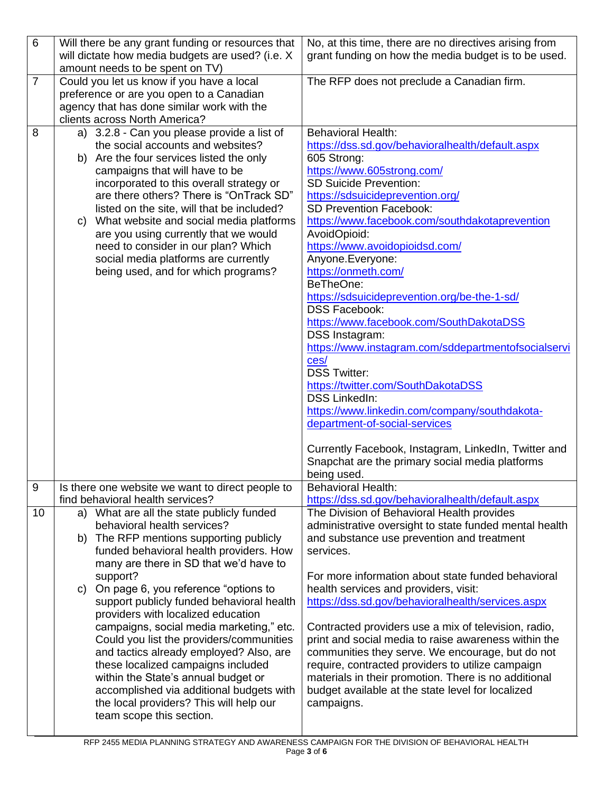| $\,6\,$        | Will there be any grant funding or resources that                                   | No, at this time, there are no directives arising from                                                    |
|----------------|-------------------------------------------------------------------------------------|-----------------------------------------------------------------------------------------------------------|
|                | will dictate how media budgets are used? (i.e. X<br>amount needs to be spent on TV) | grant funding on how the media budget is to be used.                                                      |
| $\overline{7}$ | Could you let us know if you have a local                                           | The RFP does not preclude a Canadian firm.                                                                |
|                | preference or are you open to a Canadian                                            |                                                                                                           |
|                | agency that has done similar work with the<br>clients across North America?         |                                                                                                           |
| 8              | a) 3.2.8 - Can you please provide a list of                                         | <b>Behavioral Health:</b>                                                                                 |
|                | the social accounts and websites?                                                   | https://dss.sd.gov/behavioralhealth/default.aspx                                                          |
|                | b) Are the four services listed the only                                            | 605 Strong:                                                                                               |
|                | campaigns that will have to be                                                      | https://www.605strong.com/<br><b>SD Suicide Prevention:</b>                                               |
|                | incorporated to this overall strategy or<br>are there others? There is "OnTrack SD" | https://sdsuicideprevention.org/                                                                          |
|                | listed on the site, will that be included?                                          | SD Prevention Facebook:                                                                                   |
|                | c) What website and social media platforms                                          | https://www.facebook.com/southdakotaprevention                                                            |
|                | are you using currently that we would                                               | AvoidOpioid:                                                                                              |
|                | need to consider in our plan? Which<br>social media platforms are currently         | https://www.avoidopioidsd.com/<br>Anyone.Everyone:                                                        |
|                | being used, and for which programs?                                                 | https://onmeth.com/                                                                                       |
|                |                                                                                     | BeTheOne:                                                                                                 |
|                |                                                                                     | https://sdsuicideprevention.org/be-the-1-sd/<br><b>DSS Facebook:</b>                                      |
|                |                                                                                     | https://www.facebook.com/SouthDakotaDSS                                                                   |
|                |                                                                                     | DSS Instagram:                                                                                            |
|                |                                                                                     | https://www.instagram.com/sddepartmentofsocialservi                                                       |
|                |                                                                                     | ces/<br><b>DSS Twitter:</b>                                                                               |
|                |                                                                                     | https://twitter.com/SouthDakotaDSS                                                                        |
|                |                                                                                     | <b>DSS LinkedIn:</b>                                                                                      |
|                |                                                                                     | https://www.linkedin.com/company/southdakota-                                                             |
|                |                                                                                     | department-of-social-services                                                                             |
|                |                                                                                     | Currently Facebook, Instagram, LinkedIn, Twitter and                                                      |
|                |                                                                                     | Snapchat are the primary social media platforms                                                           |
| 9              | Is there one website we want to direct people to                                    | being used.<br>Behavioral Health:                                                                         |
|                | find behavioral health services?                                                    | https://dss.sd.gov/behavioralhealth/default.aspx                                                          |
| 10             | a) What are all the state publicly funded                                           | The Division of Behavioral Health provides                                                                |
|                | behavioral health services?<br>b) The RFP mentions supporting publicly              | administrative oversight to state funded mental health                                                    |
|                | funded behavioral health providers. How                                             | and substance use prevention and treatment<br>services.                                                   |
|                | many are there in SD that we'd have to                                              |                                                                                                           |
|                | support?                                                                            | For more information about state funded behavioral                                                        |
|                | On page 6, you reference "options to<br>C)                                          | health services and providers, visit:<br>https://dss.sd.gov/behavioralhealth/services.aspx                |
|                | support publicly funded behavioral health<br>providers with localized education     |                                                                                                           |
|                | campaigns, social media marketing," etc.                                            | Contracted providers use a mix of television, radio,                                                      |
|                | Could you list the providers/communities                                            | print and social media to raise awareness within the                                                      |
|                | and tactics already employed? Also, are                                             | communities they serve. We encourage, but do not                                                          |
|                | these localized campaigns included<br>within the State's annual budget or           | require, contracted providers to utilize campaign<br>materials in their promotion. There is no additional |
|                | accomplished via additional budgets with                                            | budget available at the state level for localized                                                         |
|                | the local providers? This will help our                                             | campaigns.                                                                                                |
|                | team scope this section.                                                            |                                                                                                           |
|                |                                                                                     |                                                                                                           |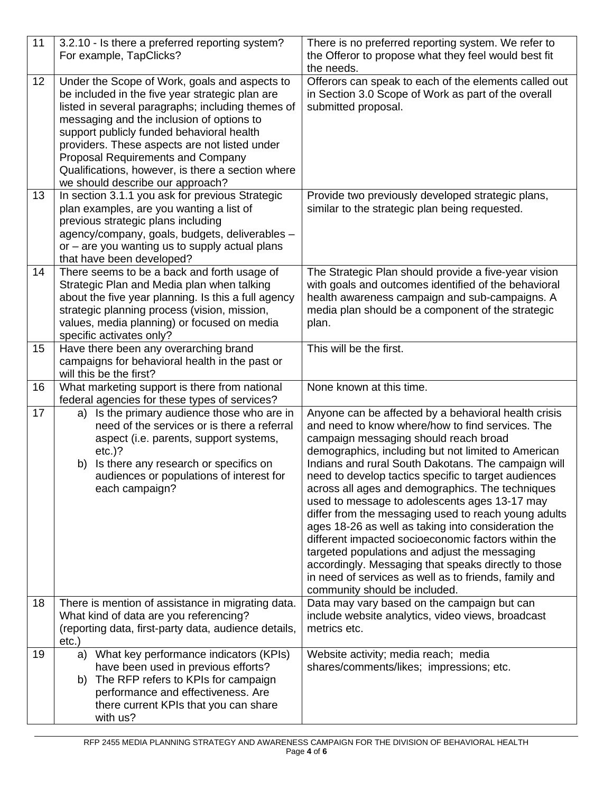| 11       | 3.2.10 - Is there a preferred reporting system?<br>For example, TapClicks?                                                                                                                                                                                                                                                                                                                                                                                                               | There is no preferred reporting system. We refer to<br>the Offeror to propose what they feel would best fit<br>the needs.                                                                                                                                                                                                                                                                                                                                                                                                                                                                                                                                                                                                                                                                             |
|----------|------------------------------------------------------------------------------------------------------------------------------------------------------------------------------------------------------------------------------------------------------------------------------------------------------------------------------------------------------------------------------------------------------------------------------------------------------------------------------------------|-------------------------------------------------------------------------------------------------------------------------------------------------------------------------------------------------------------------------------------------------------------------------------------------------------------------------------------------------------------------------------------------------------------------------------------------------------------------------------------------------------------------------------------------------------------------------------------------------------------------------------------------------------------------------------------------------------------------------------------------------------------------------------------------------------|
| 12<br>13 | Under the Scope of Work, goals and aspects to<br>be included in the five year strategic plan are<br>listed in several paragraphs; including themes of<br>messaging and the inclusion of options to<br>support publicly funded behavioral health<br>providers. These aspects are not listed under<br><b>Proposal Requirements and Company</b><br>Qualifications, however, is there a section where<br>we should describe our approach?<br>In section 3.1.1 you ask for previous Strategic | Offerors can speak to each of the elements called out<br>in Section 3.0 Scope of Work as part of the overall<br>submitted proposal.<br>Provide two previously developed strategic plans,                                                                                                                                                                                                                                                                                                                                                                                                                                                                                                                                                                                                              |
|          | plan examples, are you wanting a list of<br>previous strategic plans including<br>agency/company, goals, budgets, deliverables -<br>or – are you wanting us to supply actual plans<br>that have been developed?                                                                                                                                                                                                                                                                          | similar to the strategic plan being requested.                                                                                                                                                                                                                                                                                                                                                                                                                                                                                                                                                                                                                                                                                                                                                        |
| 14       | There seems to be a back and forth usage of<br>Strategic Plan and Media plan when talking<br>about the five year planning. Is this a full agency<br>strategic planning process (vision, mission,<br>values, media planning) or focused on media<br>specific activates only?                                                                                                                                                                                                              | The Strategic Plan should provide a five-year vision<br>with goals and outcomes identified of the behavioral<br>health awareness campaign and sub-campaigns. A<br>media plan should be a component of the strategic<br>plan.                                                                                                                                                                                                                                                                                                                                                                                                                                                                                                                                                                          |
| 15       | Have there been any overarching brand<br>campaigns for behavioral health in the past or<br>will this be the first?                                                                                                                                                                                                                                                                                                                                                                       | This will be the first.                                                                                                                                                                                                                                                                                                                                                                                                                                                                                                                                                                                                                                                                                                                                                                               |
|          |                                                                                                                                                                                                                                                                                                                                                                                                                                                                                          |                                                                                                                                                                                                                                                                                                                                                                                                                                                                                                                                                                                                                                                                                                                                                                                                       |
| 16       | What marketing support is there from national<br>federal agencies for these types of services?                                                                                                                                                                                                                                                                                                                                                                                           | None known at this time.                                                                                                                                                                                                                                                                                                                                                                                                                                                                                                                                                                                                                                                                                                                                                                              |
| 17       | Is the primary audience those who are in<br>a)<br>need of the services or is there a referral<br>aspect (i.e. parents, support systems,<br>$etc.)$ ?<br>Is there any research or specifics on<br>b)<br>audiences or populations of interest for<br>each campaign?                                                                                                                                                                                                                        | Anyone can be affected by a behavioral health crisis<br>and need to know where/how to find services. The<br>campaign messaging should reach broad<br>demographics, including but not limited to American<br>Indians and rural South Dakotans. The campaign will<br>need to develop tactics specific to target audiences<br>across all ages and demographics. The techniques<br>used to message to adolescents ages 13-17 may<br>differ from the messaging used to reach young adults<br>ages 18-26 as well as taking into consideration the<br>different impacted socioeconomic factors within the<br>targeted populations and adjust the messaging<br>accordingly. Messaging that speaks directly to those<br>in need of services as well as to friends, family and<br>community should be included. |
| 18<br>19 | There is mention of assistance in migrating data.<br>What kind of data are you referencing?<br>(reporting data, first-party data, audience details,<br>$etc.$ )<br>a) What key performance indicators (KPIs)                                                                                                                                                                                                                                                                             | Data may vary based on the campaign but can<br>include website analytics, video views, broadcast<br>metrics etc.<br>Website activity; media reach; media                                                                                                                                                                                                                                                                                                                                                                                                                                                                                                                                                                                                                                              |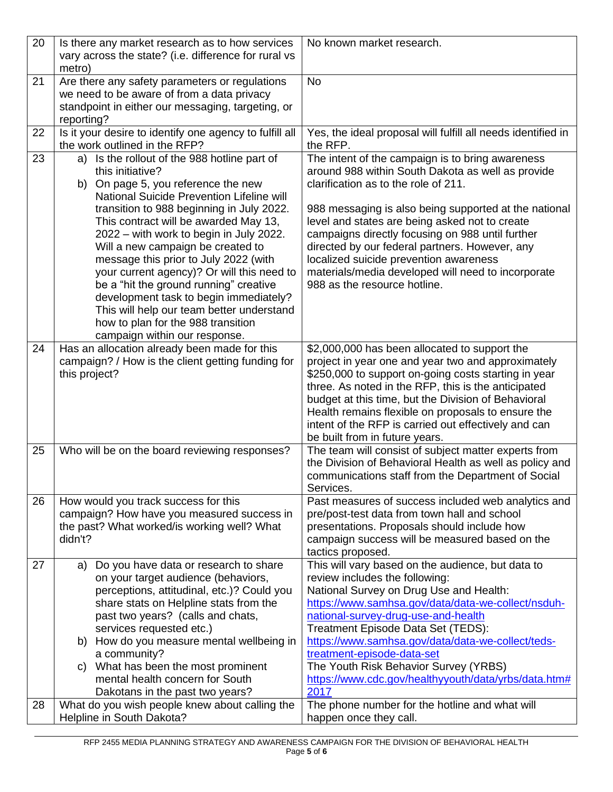| 20 | Is there any market research as to how services<br>vary across the state? (i.e. difference for rural vs<br>metro)                                                                                                                                                                                                                                                                                                                                                                                                                                                                                                                | No known market research.                                                                                                                                                                                                                                                                                                                                                                                                                                                                      |
|----|----------------------------------------------------------------------------------------------------------------------------------------------------------------------------------------------------------------------------------------------------------------------------------------------------------------------------------------------------------------------------------------------------------------------------------------------------------------------------------------------------------------------------------------------------------------------------------------------------------------------------------|------------------------------------------------------------------------------------------------------------------------------------------------------------------------------------------------------------------------------------------------------------------------------------------------------------------------------------------------------------------------------------------------------------------------------------------------------------------------------------------------|
| 21 | Are there any safety parameters or regulations<br>we need to be aware of from a data privacy<br>standpoint in either our messaging, targeting, or<br>reporting?                                                                                                                                                                                                                                                                                                                                                                                                                                                                  | <b>No</b>                                                                                                                                                                                                                                                                                                                                                                                                                                                                                      |
| 22 | Is it your desire to identify one agency to fulfill all<br>the work outlined in the RFP?                                                                                                                                                                                                                                                                                                                                                                                                                                                                                                                                         | Yes, the ideal proposal will fulfill all needs identified in<br>the RFP.                                                                                                                                                                                                                                                                                                                                                                                                                       |
| 23 | a) Is the rollout of the 988 hotline part of<br>this initiative?<br>b) On page 5, you reference the new<br><b>National Suicide Prevention Lifeline will</b><br>transition to 988 beginning in July 2022.<br>This contract will be awarded May 13,<br>2022 – with work to begin in July 2022.<br>Will a new campaign be created to<br>message this prior to July 2022 (with<br>your current agency)? Or will this need to<br>be a "hit the ground running" creative<br>development task to begin immediately?<br>This will help our team better understand<br>how to plan for the 988 transition<br>campaign within our response. | The intent of the campaign is to bring awareness<br>around 988 within South Dakota as well as provide<br>clarification as to the role of 211.<br>988 messaging is also being supported at the national<br>level and states are being asked not to create<br>campaigns directly focusing on 988 until further<br>directed by our federal partners. However, any<br>localized suicide prevention awareness<br>materials/media developed will need to incorporate<br>988 as the resource hotline. |
| 24 | Has an allocation already been made for this<br>campaign? / How is the client getting funding for<br>this project?                                                                                                                                                                                                                                                                                                                                                                                                                                                                                                               | \$2,000,000 has been allocated to support the<br>project in year one and year two and approximately<br>\$250,000 to support on-going costs starting in year<br>three. As noted in the RFP, this is the anticipated<br>budget at this time, but the Division of Behavioral<br>Health remains flexible on proposals to ensure the<br>intent of the RFP is carried out effectively and can<br>be built from in future years.                                                                      |
| 25 | Who will be on the board reviewing responses?                                                                                                                                                                                                                                                                                                                                                                                                                                                                                                                                                                                    | The team will consist of subject matter experts from<br>the Division of Behavioral Health as well as policy and<br>communications staff from the Department of Social<br>Services.                                                                                                                                                                                                                                                                                                             |
| 26 | How would you track success for this<br>campaign? How have you measured success in<br>the past? What worked/is working well? What<br>didn't?                                                                                                                                                                                                                                                                                                                                                                                                                                                                                     | Past measures of success included web analytics and<br>pre/post-test data from town hall and school<br>presentations. Proposals should include how<br>campaign success will be measured based on the<br>tactics proposed.                                                                                                                                                                                                                                                                      |
| 27 | Do you have data or research to share<br>a)<br>on your target audience (behaviors,<br>perceptions, attitudinal, etc.)? Could you<br>share stats on Helpline stats from the<br>past two years? (calls and chats,<br>services requested etc.)<br>b) How do you measure mental wellbeing in<br>a community?<br>c) What has been the most prominent<br>mental health concern for South<br>Dakotans in the past two years?                                                                                                                                                                                                            | This will vary based on the audience, but data to<br>review includes the following:<br>National Survey on Drug Use and Health:<br>https://www.samhsa.gov/data/data-we-collect/nsduh-<br>national-survey-drug-use-and-health<br>Treatment Episode Data Set (TEDS):<br>https://www.samhsa.gov/data/data-we-collect/teds-<br>treatment-episode-data-set<br>The Youth Risk Behavior Survey (YRBS)<br>https://www.cdc.gov/healthyyouth/data/yrbs/data.htm#<br>2017                                  |
| 28 | What do you wish people knew about calling the<br>Helpline in South Dakota?                                                                                                                                                                                                                                                                                                                                                                                                                                                                                                                                                      | The phone number for the hotline and what will<br>happen once they call.                                                                                                                                                                                                                                                                                                                                                                                                                       |